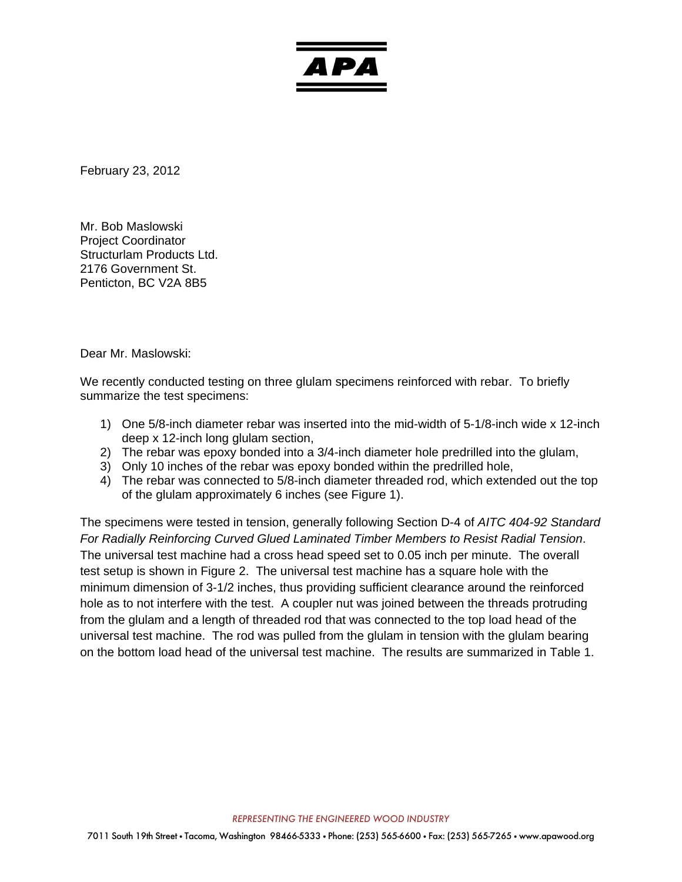

February 23, 2012

Mr. Bob Maslowski Project Coordinator Structurlam Products Ltd. 2176 Government St. Penticton, BC V2A 8B5

Dear Mr. Maslowski:

We recently conducted testing on three glulam specimens reinforced with rebar. To briefly summarize the test specimens:

- 1) One 5/8-inch diameter rebar was inserted into the mid-width of 5-1/8-inch wide x 12-inch deep x 12-inch long glulam section,
- 2) The rebar was epoxy bonded into a 3/4-inch diameter hole predrilled into the glulam,
- 3) Only 10 inches of the rebar was epoxy bonded within the predrilled hole,
- 4) The rebar was connected to 5/8-inch diameter threaded rod, which extended out the top of the glulam approximately 6 inches (see Figure 1).

The specimens were tested in tension, generally following Section D-4 of *AITC 404-92 Standard For Radially Reinforcing Curved Glued Laminated Timber Members to Resist Radial Tension*. The universal test machine had a cross head speed set to 0.05 inch per minute. The overall test setup is shown in Figure 2. The universal test machine has a square hole with the minimum dimension of 3-1/2 inches, thus providing sufficient clearance around the reinforced hole as to not interfere with the test. A coupler nut was joined between the threads protruding from the glulam and a length of threaded rod that was connected to the top load head of the universal test machine. The rod was pulled from the glulam in tension with the glulam bearing on the bottom load head of the universal test machine. The results are summarized in Table 1.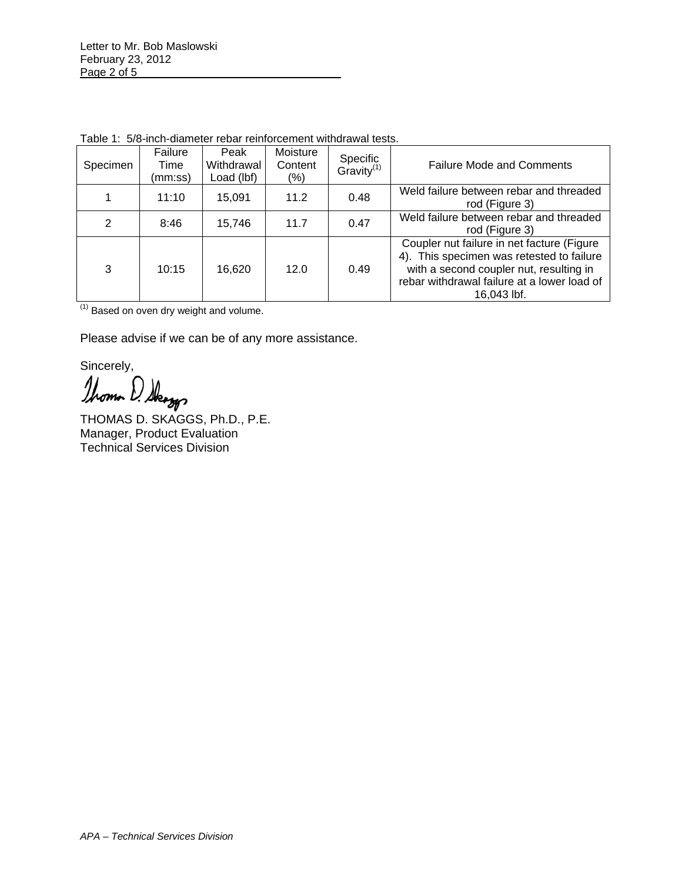| Specimen | Failure<br>Time<br>(mm:ss) | Peak<br>Withdrawal<br>Load (lbf) | Moisture<br>Content<br>(% ) | Specific<br>Gravity <sup>(1)</sup> | <b>Failure Mode and Comments</b>                                                                                                                                                                 |
|----------|----------------------------|----------------------------------|-----------------------------|------------------------------------|--------------------------------------------------------------------------------------------------------------------------------------------------------------------------------------------------|
|          | 11:10                      | 15,091                           | 11.2                        | 0.48                               | Weld failure between rebar and threaded<br>rod (Figure 3)                                                                                                                                        |
| 2        | 8:46                       | 15,746                           | 11.7                        | 0.47                               | Weld failure between rebar and threaded<br>rod (Figure 3)                                                                                                                                        |
| 3        | 10:15                      | 16,620                           | 12.0                        | 0.49                               | Coupler nut failure in net facture (Figure<br>4). This specimen was retested to failure<br>with a second coupler nut, resulting in<br>rebar withdrawal failure at a lower load of<br>16.043 lbf. |

Table 1: 5/8-inch-diameter rebar reinforcement withdrawal tests.

(1) Based on oven dry weight and volume.

Please advise if we can be of any more assistance.

Sincerely,

Thoma D. Skeggs

THOMAS D. SKAGGS, Ph.D., P.E. Manager, Product Evaluation Technical Services Division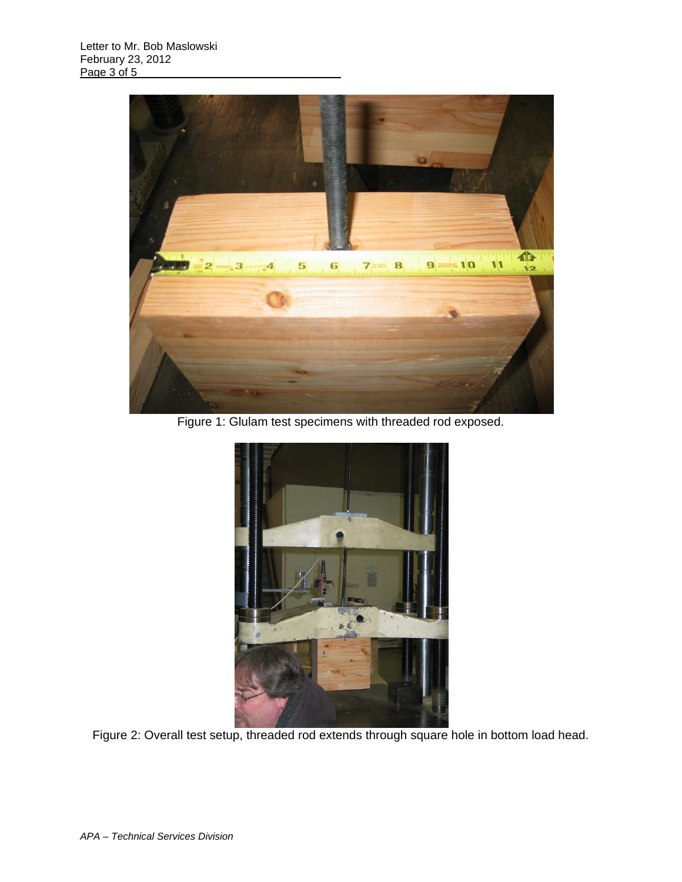

Figure 1: Glulam test specimens with threaded rod exposed.



Figure 2: Overall test setup, threaded rod extends through square hole in bottom load head.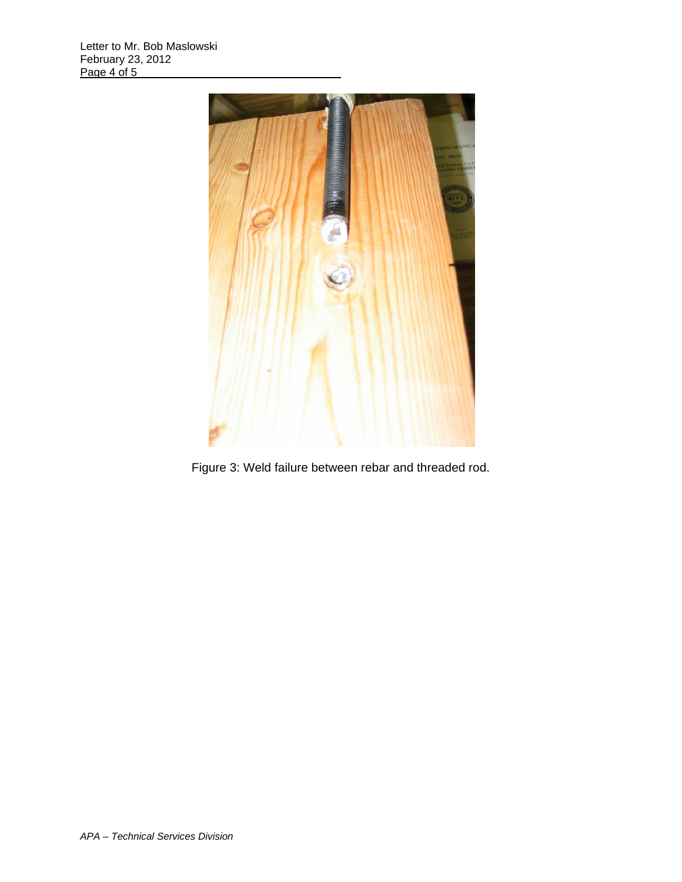

Figure 3: Weld failure between rebar and threaded rod.